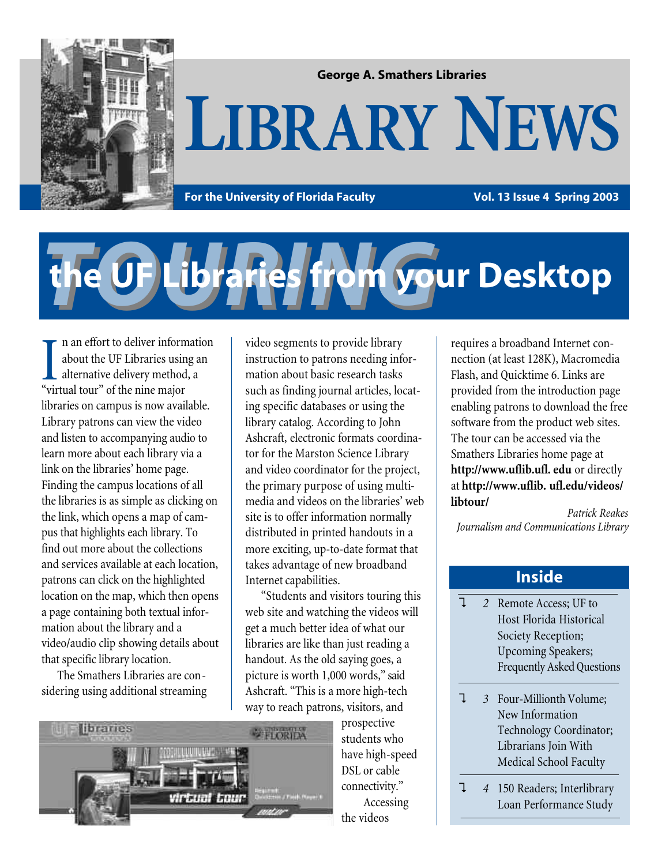

#### **George A. Smathers Libraries**

## **LIBRARY NEWS**

For the University of Florida Faculty **Vol. 13 Issue 4 Spring 2003** 

# *TOURING* **the UF Libraries from your Desktop**

n an effort to deliver information about the UF Libraries using an alternative delivery method, a I an effort to deliver inform<br>about the UF Libraries usir<br>alternative delivery method<br>"virtual tour" of the nine major libraries on campus is now available. Library patrons can view the video and listen to accompanying audio to learn more about each library via a link on the libraries' home page. Finding the campus locations of all the libraries is as simple as clicking on the link, which opens a map of campus that highlights each library. To find out more about the collections and services available at each location, patrons can click on the highlighted location on the map, which then opens a page containing both textual information about the library and a video/audio clip showing details about that specific library location.

The Smathers Libraries are considering using additional streaming video segments to provide library instruction to patrons needing information about basic research tasks such as finding journal articles, locating specific databases or using the library catalog. According to John Ashcraft, electronic formats coordinator for the Marston Science Library and video coordinator for the project, the primary purpose of using multimedia and videos on the libraries' web site is to offer information normally distributed in printed handouts in a more exciting, up-to-date format that takes advantage of new broadband Internet capabilities.

"Students and visitors touring this web site and watching the videos will get a much better idea of what our libraries are like than just reading a handout. As the old saying goes, a picture is worth 1,000 words," said Ashcraft. "This is a more high-tech way to reach patrons, visitors, and



prospective students who have high-speed DSL or cable connectivity." Accessing the videos

requires a broadband Internet connection (at least 128K), Macromedia Flash, and Quicktime 6. Links are provided from the introduction page enabling patrons to download the free software from the product web sites. The tour can be accessed via the Smathers Libraries home page at **http://www.uflib.ufl. edu** or directly at **http://www.uflib. ufl.edu/videos/ libtour/**

*Patrick Reakes Journalism and Communications Library*

#### **Inside**

- ? *2* Remote Access; UF to Host Florida Historical Society Reception; Upcoming Speakers; Frequently Asked Questions
- ? *3* Four-Millionth Volume; New Information Technology Coordinator; Librarians Join With Medical School Faculty
- ? *4* 150 Readers; Interlibrary Loan Performance Study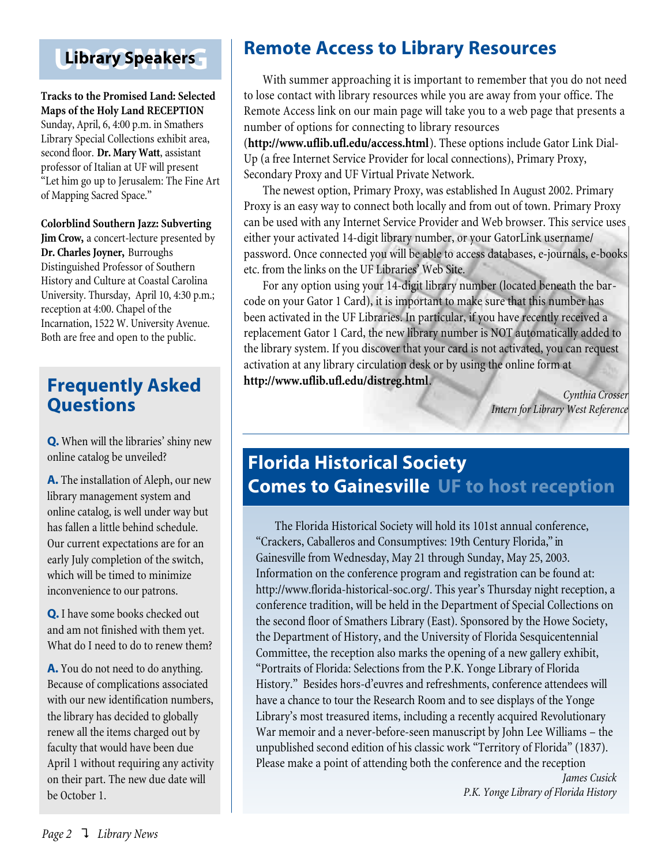## **Library Speakers**

**Tracks to the Promised Land: Selected Maps of the Holy Land RECEPTION** Sunday, April, 6, 4:00 p.m. in Smathers Library Special Collections exhibit area, second floor. **Dr. Mary Watt**, assistant professor of Italian at UF will present "Let him go up to Jerusalem: The Fine Art of Mapping Sacred Space."

#### **Colorblind Southern Jazz: Subverting**

**Jim Crow,** a concert-lecture presented by **Dr. Charles Joyner,** Burroughs Distinguished Professor of Southern History and Culture at Coastal Carolina University. Thursday, April 10, 4:30 p.m.; reception at 4:00. Chapel of the Incarnation, 1522 W. University Avenue. Both are free and open to the public.

## **Frequently Asked Questions**

**Q.** When will the libraries' shiny new online catalog be unveiled?

**A.** The installation of Aleph, our new library management system and online catalog, is well under way but has fallen a little behind schedule. Our current expectations are for an early July completion of the switch, which will be timed to minimize inconvenience to our patrons.

**Q.** I have some books checked out and am not finished with them yet. What do I need to do to renew them?

**A.** You do not need to do anything. Because of complications associated with our new identification numbers, the library has decided to globally renew all the items charged out by faculty that would have been due April 1 without requiring any activity on their part. The new due date will be October 1.

## **Remote Access to Library Resources**

With summer approaching it is important to remember that you do not need to lose contact with library resources while you are away from your office. The Remote Access link on our main page will take you to a web page that presents a number of options for connecting to library resources

(**http://www.uflib.ufl.edu/access.html**). These options include Gator Link Dial-Up (a free Internet Service Provider for local connections), Primary Proxy, Secondary Proxy and UF Virtual Private Network.

The newest option, Primary Proxy, was established In August 2002. Primary Proxy is an easy way to connect both locally and from out of town. Primary Proxy can be used with any Internet Service Provider and Web browser. This service uses either your activated 14-digit library number, or your GatorLink username/ password. Once connected you will be able to access databases, e-journals, e-books etc. from the links on the UF Libraries' Web Site.

For any option using your 14-digit library number (located beneath the barcode on your Gator 1 Card), it is important to make sure that this number has been activated in the UF Libraries. In particular, if you have recently received a replacement Gator 1 Card, the new library number is NOT automatically added to the library system. If you discover that your card is not activated, you can request activation at any library circulation desk or by using the online form at **http://www.uflib.ufl.edu/distreg.html**.

> *Cynthia Crosser Intern for Library West Reference*

## **Florida Historical Society Comes to Gainesville UF to host reception**

The Florida Historical Society will hold its 101st annual conference, "Crackers, Caballeros and Consumptives: 19th Century Florida," in Gainesville from Wednesday, May 21 through Sunday, May 25, 2003. Information on the conference program and registration can be found at: http://www.florida-historical-soc.org/. This year's Thursday night reception, a conference tradition, will be held in the Department of Special Collections on the second floor of Smathers Library (East). Sponsored by the Howe Society, the Department of History, and the University of Florida Sesquicentennial Committee, the reception also marks the opening of a new gallery exhibit, "Portraits of Florida: Selections from the P.K. Yonge Library of Florida History." Besides hors-d'euvres and refreshments, conference attendees will have a chance to tour the Research Room and to see displays of the Yonge Library's most treasured items, including a recently acquired Revolutionary War memoir and a never-before-seen manuscript by John Lee Williams – the unpublished second edition of his classic work "Territory of Florida" (1837). Please make a point of attending both the conference and the reception

> *James Cusick P.K. Yonge Library of Florida History*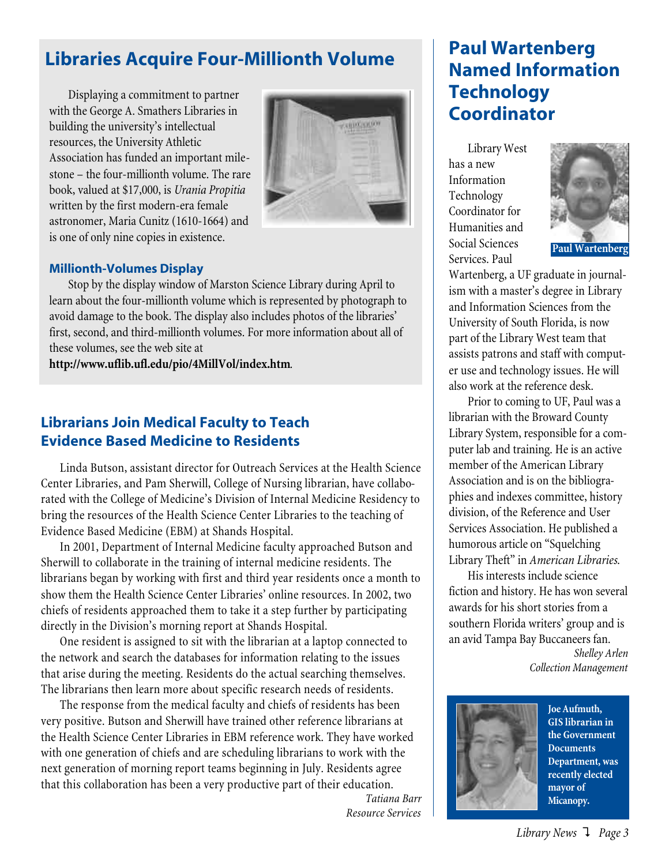## **Libraries Acquire Four-Millionth Volume**

Displaying a commitment to partner with the George A. Smathers Libraries in building the university's intellectual resources, the University Athletic Association has funded an important milestone – the four-millionth volume. The rare book, valued at \$17,000, is *Urania Propitia* written by the first modern-era female astronomer, Maria Cunitz (1610-1664) and is one of only nine copies in existence.



#### **Millionth-Volumes Display**

Stop by the display window of Marston Science Library during April to learn about the four-millionth volume which is represented by photograph to avoid damage to the book. The display also includes photos of the libraries' first, second, and third-millionth volumes. For more information about all of these volumes, see the web site at

**http://www.uflib.ufl.edu/pio/4MillVol/index.htm**.

#### **Librarians Join Medical Faculty to Teach Evidence Based Medicine to Residents**

Linda Butson, assistant director for Outreach Services at the Health Science Center Libraries, and Pam Sherwill, College of Nursing librarian, have collaborated with the College of Medicine's Division of Internal Medicine Residency to bring the resources of the Health Science Center Libraries to the teaching of Evidence Based Medicine (EBM) at Shands Hospital.

In 2001, Department of Internal Medicine faculty approached Butson and Sherwill to collaborate in the training of internal medicine residents. The librarians began by working with first and third year residents once a month to show them the Health Science Center Libraries' online resources. In 2002, two chiefs of residents approached them to take it a step further by participating directly in the Division's morning report at Shands Hospital.

One resident is assigned to sit with the librarian at a laptop connected to the network and search the databases for information relating to the issues that arise during the meeting. Residents do the actual searching themselves. The librarians then learn more about specific research needs of residents.

The response from the medical faculty and chiefs of residents has been very positive. Butson and Sherwill have trained other reference librarians at the Health Science Center Libraries in EBM reference work. They have worked with one generation of chiefs and are scheduling librarians to work with the next generation of morning report teams beginning in July. Residents agree that this collaboration has been a very productive part of their education.

*Tatiana Barr Resource Services*

## **Paul Wartenberg Named Information Technology Coordinator**

Library West has a new Information Technology Coordinator for Humanities and Social Sciences Services. Paul



Wartenberg, a UF graduate in journalism with a master's degree in Library and Information Sciences from the University of South Florida, is now part of the Library West team that assists patrons and staff with computer use and technology issues. He will also work at the reference desk.

Prior to coming to UF, Paul was a librarian with the Broward County Library System, responsible for a computer lab and training. He is an active member of the American Library Association and is on the bibliographies and indexes committee, history division, of the Reference and User Services Association. He published a humorous article on "Squelching Library Theft" in *American Libraries*.

His interests include science fiction and history. He has won several awards for his short stories from a southern Florida writers' group and is an avid Tampa Bay Buccaneers fan.

> *Shelley Arlen Collection Management*



**Joe Aufmuth, GIS librarian in the Government Documents Department, was recently elected mayor of Micanopy.**